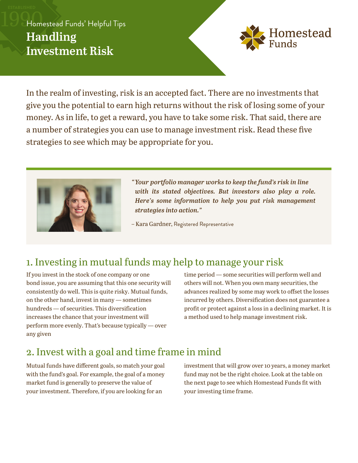## Homestead Funds' Helpful Tips **Handling Investment Risk**



In the realm of investing, risk is an accepted fact. There are no investments that give you the potential to earn high returns without the risk of losing some of your money. As in life, to get a reward, you have to take some risk. That said, there are a number of strategies you can use to manage investment risk. Read these five strategies to see which may be appropriate for you.



*"Your portfolio manager works to keep the fund's risk in line with its stated objectives. But investors also play a role. Here's some information to help you put risk management strategies into action."*

– Kara Gardner, Registered Representative

# 1. Investing in mutual funds may help to manage your risk

If you invest in the stock of one company or one bond issue, you are assuming that this one security will consistently do well. This is quite risky. Mutual funds, on the other hand, invest in many — sometimes hundreds — of securities. This diversification increases the chance that your investment will perform more evenly. That's because typically — over any given

time period — some securities will perform well and others will not. When you own many securities, the advances realized by some may work to offset the losses incurred by others. Diversification does not guarantee a profit or protect against a loss in a declining market. It is a method used to help manage investment risk.

#### 2. Invest with a goal and time frame in mind

Mutual funds have different goals, so match your goal with the fund's goal. For example, the goal of a money market fund is generally to preserve the value of your investment. Therefore, if you are looking for an

investment that will grow over 10 years, a money market fund may not be the right choice. Look at the table on the next page to see which Homestead Funds fit with your investing time frame.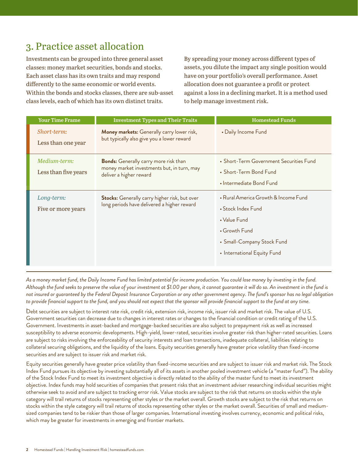## 3. Practice asset allocation

Investments can be grouped into three general asset classes: money market securities, bonds and stocks. Each asset class has its own traits and may respond differently to the same economic or world events. Within the bonds and stocks classes, there are sub-asset class levels, each of which has its own distinct traits.

By spreading your money across different types of assets, you dilute the impact any single position would have on your portfolio's overall performance. Asset allocation does not guarantee a profit or protect against a loss in a declining market. It is a method used to help manage investment risk.

| <b>Your Time Frame</b>               | <b>Investment Types and Their Traits</b>                                                                              | <b>Homestead Funds</b>                                                                                                                                   |
|--------------------------------------|-----------------------------------------------------------------------------------------------------------------------|----------------------------------------------------------------------------------------------------------------------------------------------------------|
| Short-term:<br>Less than one year    | Money markets: Generally carry lower risk,<br>but typically also give you a lower reward                              | • Daily Income Fund                                                                                                                                      |
| Medium-term:<br>Less than five years | <b>Bonds:</b> Generally carry more risk than<br>money market investments but, in turn, may<br>deliver a higher reward | • Short-Term Government Securities Fund<br>• Short-Term Bond Fund<br>• Intermediate Bond Fund                                                            |
| Long-term:<br>Five or more years     | <b>Stocks:</b> Generally carry higher risk, but over<br>long periods have delivered a higher reward                   | • Rural America Growth & Income Fund<br>• Stock Index Fund<br>• Value Fund<br>• Growth Fund<br>• Small-Company Stock Fund<br>• International Equity Fund |

*As a money market fund, the Daily Income Fund has limited potential for income production. You could lose money by investing in the fund. Although the fund seeks to preserve the value of your investment at \$1.00 per share, it cannot guarantee it will do so. An investment in the fund is not insured or guaranteed by the Federal Deposit Insurance Corporation or any other government agency. The fund's sponsor has no legal obligation to provide financial support to the fund, and you should not expect that the sponsor will provide financial support to the fund at any time.* 

Debt securities are subject to interest rate risk, credit risk, extension risk, income risk, issuer risk and market risk. The value of U.S. Government securities can decrease due to changes in interest rates or changes to the financial condition or credit rating of the U.S. Government. Investments in asset-backed and mortgage-backed securities are also subject to prepayment risk as well as increased susceptibility to adverse economic developments. High-yield, lower-rated, securities involve greater risk than higher-rated securities. Loans are subject to risks involving the enforceability of security interests and loan transactions, inadequate collateral, liabilities relating to collateral securing obligations, and the liquidity of the loans. Equity securities generally have greater price volatility than fixed-income securities and are subject to issuer risk and market risk.

Equity securities generally have greater price volatility than fixed-income securities and are subject to issuer risk and market risk. The Stock Index Fund pursues its objective by investing substantially all of its assets in another pooled investment vehicle (a "master fund"). The ability of the Stock Index Fund to meet its investment objective is directly related to the ability of the master fund to meet its investment objective. Index funds may hold securities of companies that present risks that an investment adviser researching individual securities might otherwise seek to avoid and are subject to tracking error risk. Value stocks are subject to the risk that returns on stocks within the style category will trail returns of stocks representing other styles or the market overall. Growth stocks are subject to the risk that returns on stocks within the style category will trail returns of stocks representing other styles or the market overall. Securities of small and mediumsized companies tend to be riskier than those of larger companies. International investing involves currency, economic and political risks, which may be greater for investments in emerging and frontier markets.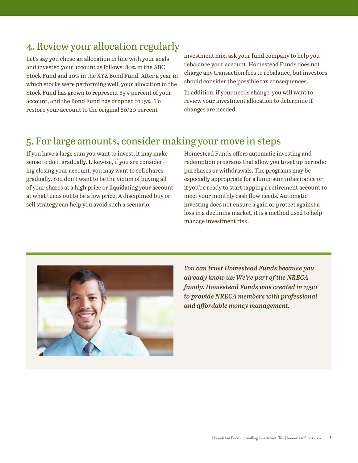#### 4. Review your allocation regularly

Let's say you chose an allocation in line with your goals and invested your account as follows: 80% in the ABC Stock Fund and 20% in the XYZ Bond Fund. After a year in which stocks were performing well, your allocation in the Stock Fund has grown to represent 85% percent of your account, and the Bond Fund has dropped to 15%. To restore your account to the original 80/20 percent

investment mix, ask your fund company to help you rebalance your account. Homestead Funds does not charge any transaction fees to rebalance, but investors should consider the possible tax consequences.

In addition, if your needs change, you will want to review your investment allocation to determine if changes are needed.

#### 5. For large amounts, consider making your move in steps

If you have a large sum you want to invest, it may make sense to do it gradually. Likewise, if you are considering closing your account, you may want to sell shares gradually. You don't want to be the victim of buying all of your shares at a high price or liquidating your account at what turns out to be a low price. A disciplined buy or sell strategy can help you avoid such a scenario.

Homestead Funds offers automatic investing and redemption programs that allow you to set up periodic purchases or withdrawals. The programs may be especially appropriate for a lump-sum inheritance or if you're ready to start tapping a retirement account to meet your monthly cash flow needs. Automatic investing does not ensure a gain or protect against a loss in a declining market, it is a method used to help manage investment risk.



*You can trust Homestead Funds because you already know us: We're part of the NRECA family. Homestead Funds was created in 1990 to provide NRECA members with professional and affordable money management.*